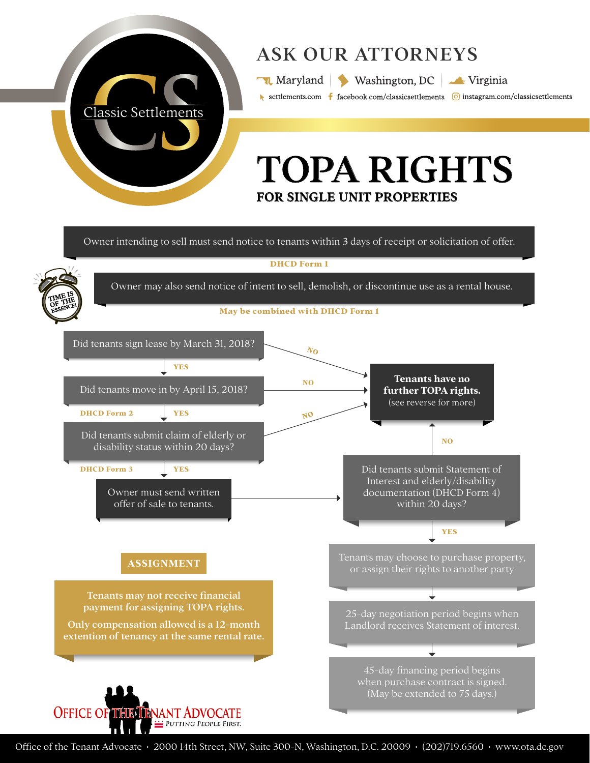

**OFFICE OF THE TENANT ADVOCATE** 

PUTTING PEOPLE FIRST.

# ASK OUR ATTORNEYS

Maryland Washington, DC Virginia

settlements.com f facebook.com/classicsettlements o instagram.com/classicsettlements

# TOPA RIGHTS FOR SINGLE UNIT PROPERTIES

Owner intending to sell must send notice to tenants within 3 days of receipt or solicitation of offer.

**DHCD Form 1**